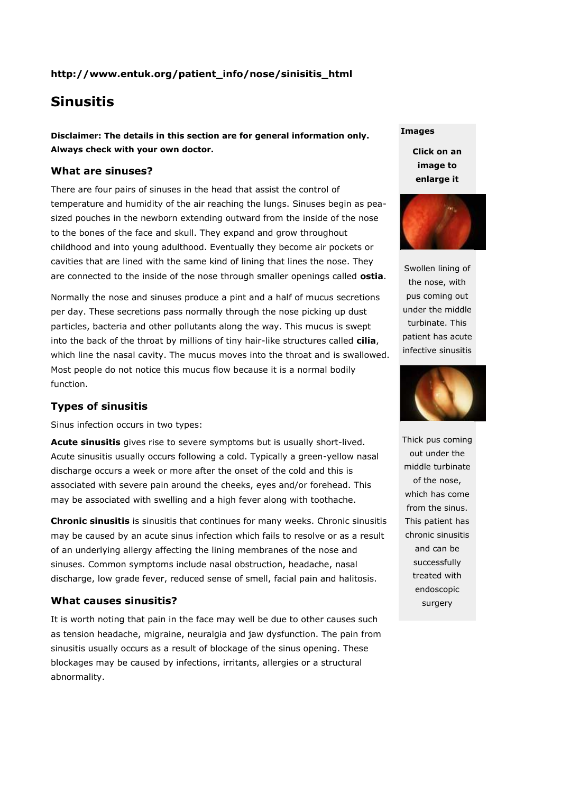# **http://www.entuk.org/patient\_info/nose/sinisitis\_html**

# **Sinusitis**

**Disclaimer: The details in this section are for general information only. Always check with your own doctor.**

### **What are sinuses?**

There are four pairs of sinuses in the head that assist the control of temperature and humidity of the air reaching the lungs. Sinuses begin as peasized pouches in the newborn extending outward from the inside of the nose to the bones of the face and skull. They expand and grow throughout childhood and into young adulthood. Eventually they become air pockets or cavities that are lined with the same kind of lining that lines the nose. They are connected to the inside of the nose through smaller openings called **ostia**.

Normally the nose and sinuses produce a pint and a half of mucus secretions per day. These secretions pass normally through the nose picking up dust particles, bacteria and other pollutants along the way. This mucus is swept into the back of the throat by millions of tiny hair-like structures called **cilia**, which line the nasal cavity. The mucus moves into the throat and is swallowed. Most people do not notice this mucus flow because it is a normal bodily function.

## **Types of sinusitis**

Sinus infection occurs in two types:

**Acute sinusitis** gives rise to severe symptoms but is usually short-lived. Acute sinusitis usually occurs following a cold. Typically a green-yellow nasal discharge occurs a week or more after the onset of the cold and this is associated with severe pain around the cheeks, eyes and/or forehead. This may be associated with swelling and a high fever along with toothache.

**Chronic sinusitis** is sinusitis that continues for many weeks. Chronic sinusitis may be caused by an acute sinus infection which fails to resolve or as a result of an underlying allergy affecting the lining membranes of the nose and sinuses. Common symptoms include nasal obstruction, headache, nasal discharge, low grade fever, reduced sense of smell, facial pain and halitosis.

#### **What causes sinusitis?**

It is worth noting that pain in the face may well be due to other causes such as tension headache, migraine, neuralgia and jaw dysfunction. The pain from sinusitis usually occurs as a result of blockage of the sinus opening. These blockages may be caused by infections, irritants, allergies or a structural abnormality.

#### **Images**

**Click on an image to enlarge it**



Swollen lining of the nose, with pus coming out under the middle turbinate. This patient has acute infective sinusitis



Thick pus coming out under the middle turbinate of the nose, which has come from the sinus. This patient has chronic sinusitis and can be successfully treated with endoscopic surgery